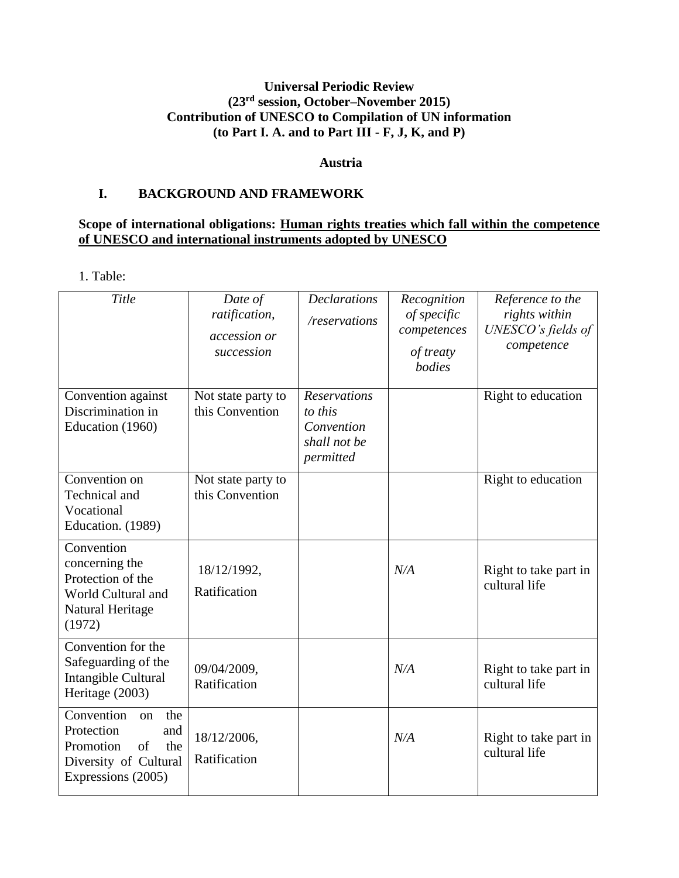### **Universal Periodic Review (23 rd session, October–November 2015) Contribution of UNESCO to Compilation of UN information (to Part I. A. and to Part III - F, J, K, and P)**

#### **Austria**

### **I. BACKGROUND AND FRAMEWORK**

### **Scope of international obligations: Human rights treaties which fall within the competence of UNESCO and international instruments adopted by UNESCO**

1. Table:

| Title                                                                                                                                                | Date of<br>ratification,<br>accession or<br>succession | <b>Declarations</b><br>/reservations                                      | Recognition<br>of specific<br>competences<br>of treaty<br>bodies | Reference to the<br>rights within<br>UNESCO's fields of<br>competence |
|------------------------------------------------------------------------------------------------------------------------------------------------------|--------------------------------------------------------|---------------------------------------------------------------------------|------------------------------------------------------------------|-----------------------------------------------------------------------|
| Convention against<br>Discrimination in<br>Education (1960)                                                                                          | Not state party to<br>this Convention                  | <b>Reservations</b><br>to this<br>Convention<br>shall not be<br>permitted |                                                                  | Right to education                                                    |
| Convention on<br>Technical and<br>Vocational<br>Education. (1989)                                                                                    | Not state party to<br>this Convention                  |                                                                           |                                                                  | Right to education                                                    |
| Convention<br>concerning the<br>Protection of the<br>World Cultural and<br>Natural Heritage<br>(1972)                                                | 18/12/1992,<br>Ratification                            |                                                                           | N/A                                                              | Right to take part in<br>cultural life                                |
| Convention for the<br>Safeguarding of the<br>Intangible Cultural<br>Heritage (2003)                                                                  | 09/04/2009,<br>Ratification                            |                                                                           | N/A                                                              | Right to take part in<br>cultural life                                |
| $\overline{\text{Convention}}$<br>the<br><sub>on</sub><br>Protection<br>and<br>Promotion<br>of<br>the<br>Diversity of Cultural<br>Expressions (2005) | 18/12/2006,<br>Ratification                            |                                                                           | N/A                                                              | Right to take part in<br>cultural life                                |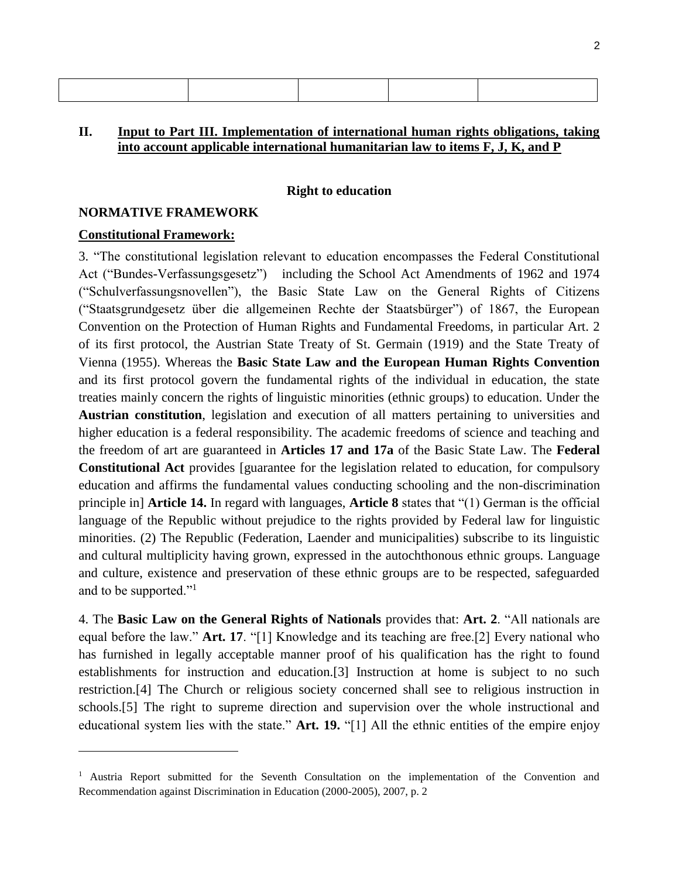#### **II. Input to Part III. Implementation of international human rights obligations, taking into account applicable international humanitarian law to items F, J, K, and P**

#### **Right to education**

#### **NORMATIVE FRAMEWORK**

#### **Constitutional Framework:**

l

3. "The constitutional legislation relevant to education encompasses the Federal Constitutional Act ("Bundes-Verfassungsgesetz") including the School Act Amendments of 1962 and 1974 ("Schulverfassungsnovellen"), the Basic State Law on the General Rights of Citizens ("Staatsgrundgesetz über die allgemeinen Rechte der Staatsbürger") of 1867, the European Convention on the Protection of Human Rights and Fundamental Freedoms, in particular Art. 2 of its first protocol, the Austrian State Treaty of St. Germain (1919) and the State Treaty of Vienna (1955). Whereas the **Basic State Law and the European Human Rights Convention** and its first protocol govern the fundamental rights of the individual in education, the state treaties mainly concern the rights of linguistic minorities (ethnic groups) to education. Under the **Austrian constitution**, legislation and execution of all matters pertaining to universities and higher education is a federal responsibility. The academic freedoms of science and teaching and the freedom of art are guaranteed in **Articles 17 and 17a** of the Basic State Law. The **Federal Constitutional Act** provides [guarantee for the legislation related to education, for compulsory education and affirms the fundamental values conducting schooling and the non-discrimination principle in] **Article 14.** In regard with languages, **Article 8** states that "(1) German is the official language of the Republic without prejudice to the rights provided by Federal law for linguistic minorities. (2) The Republic (Federation, Laender and municipalities) subscribe to its linguistic and cultural multiplicity having grown, expressed in the autochthonous ethnic groups. Language and culture, existence and preservation of these ethnic groups are to be respected, safeguarded and to be supported."<sup>1</sup>

4. The **Basic Law on the General Rights of Nationals** provides that: **Art. 2**. "All nationals are equal before the law." **Art. 17**. "[1] Knowledge and its teaching are free.[2] Every national who has furnished in legally acceptable manner proof of his qualification has the right to found establishments for instruction and education.[3] Instruction at home is subject to no such restriction.[4] The Church or religious society concerned shall see to religious instruction in schools.[5] The right to supreme direction and supervision over the whole instructional and educational system lies with the state." **Art. 19.** "[1] All the ethnic entities of the empire enjoy

<sup>&</sup>lt;sup>1</sup> Austria Report submitted for the Seventh Consultation on the implementation of the Convention and Recommendation against Discrimination in Education (2000-2005), 2007, p. 2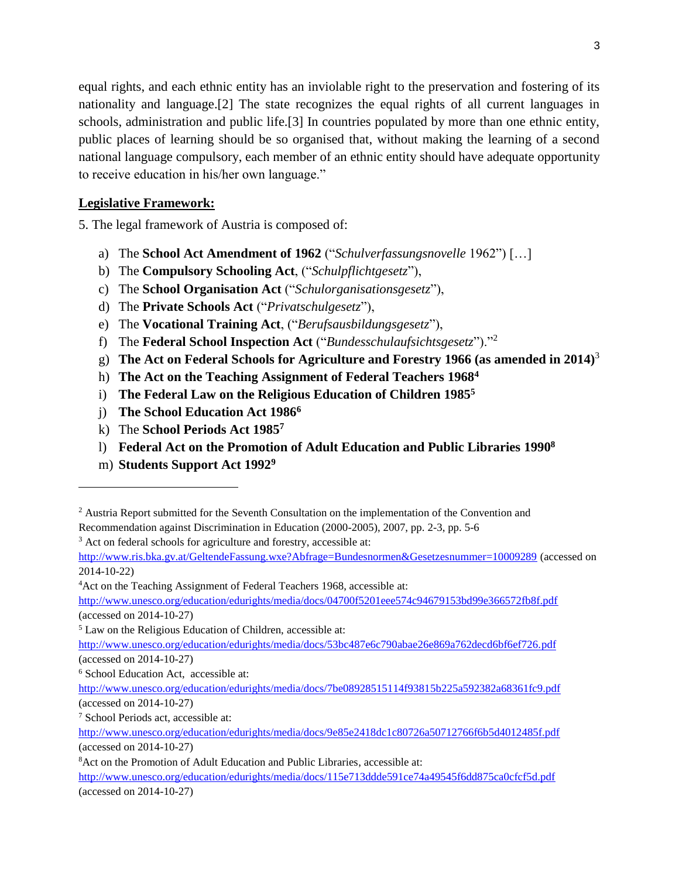equal rights, and each ethnic entity has an inviolable right to the preservation and fostering of its nationality and language.[2] The state recognizes the equal rights of all current languages in schools, administration and public life.[3] In countries populated by more than one ethnic entity, public places of learning should be so organised that, without making the learning of a second national language compulsory, each member of an ethnic entity should have adequate opportunity to receive education in his/her own language."

# **Legislative Framework:**

5. The legal framework of Austria is composed of:

- a) The **School Act Amendment of 1962** ("*Schulverfassungsnovelle* 1962") […]
- b) The **Compulsory Schooling Act**, ("*Schulpflichtgesetz*"),
- c) The **School Organisation Act** ("*Schulorganisationsgesetz*"),
- d) The **Private Schools Act** ("*Privatschulgesetz*"),
- e) The **Vocational Training Act**, ("*Berufsausbildungsgesetz*"),
- f) The **Federal School Inspection Act** ("*Bundesschulaufsichtsgesetz*")."<sup>2</sup>
- g) **The Act on Federal Schools for Agriculture and Forestry 1966 (as amended in 2014)**<sup>3</sup>
- h) **The Act on the Teaching Assignment of Federal Teachers 1968<sup>4</sup>**
- i) **The Federal Law on the Religious Education of Children 1985<sup>5</sup>**
- j) **The School Education Act 1986<sup>6</sup>**
- k) The **School Periods Act 1985<sup>7</sup>**
- l) **Federal Act on the Promotion of Adult Education and Public Libraries 1990<sup>8</sup>**
- m) **Students Support Act 1992<sup>9</sup>**

l

<http://www.ris.bka.gv.at/GeltendeFassung.wxe?Abfrage=Bundesnormen&Gesetzesnummer=10009289> (accessed on 2014-10-22)

<sup>4</sup>Act on the Teaching Assignment of Federal Teachers 1968, accessible at:

<http://www.unesco.org/education/edurights/media/docs/04700f5201eee574c94679153bd99e366572fb8f.pdf> (accessed on 2014-10-27)

<sup>5</sup> Law on the Religious Education of Children, accessible at:

<sup>&</sup>lt;sup>2</sup> Austria Report submitted for the Seventh Consultation on the implementation of the Convention and Recommendation against Discrimination in Education (2000-2005), 2007, pp. 2-3, pp. 5-6

<sup>&</sup>lt;sup>3</sup> Act on federal schools for agriculture and forestry, accessible at:

<http://www.unesco.org/education/edurights/media/docs/53bc487e6c790abae26e869a762decd6bf6ef726.pdf> (accessed on 2014-10-27)

<sup>6</sup> School Education Act, accessible at:

<http://www.unesco.org/education/edurights/media/docs/7be08928515114f93815b225a592382a68361fc9.pdf> (accessed on 2014-10-27)

<sup>7</sup> School Periods act, accessible at:

<http://www.unesco.org/education/edurights/media/docs/9e85e2418dc1c80726a50712766f6b5d4012485f.pdf> (accessed on 2014-10-27)

<sup>8</sup>Act on the Promotion of Adult Education and Public Libraries, accessible at:

<http://www.unesco.org/education/edurights/media/docs/115e713ddde591ce74a49545f6dd875ca0cfcf5d.pdf> (accessed on 2014-10-27)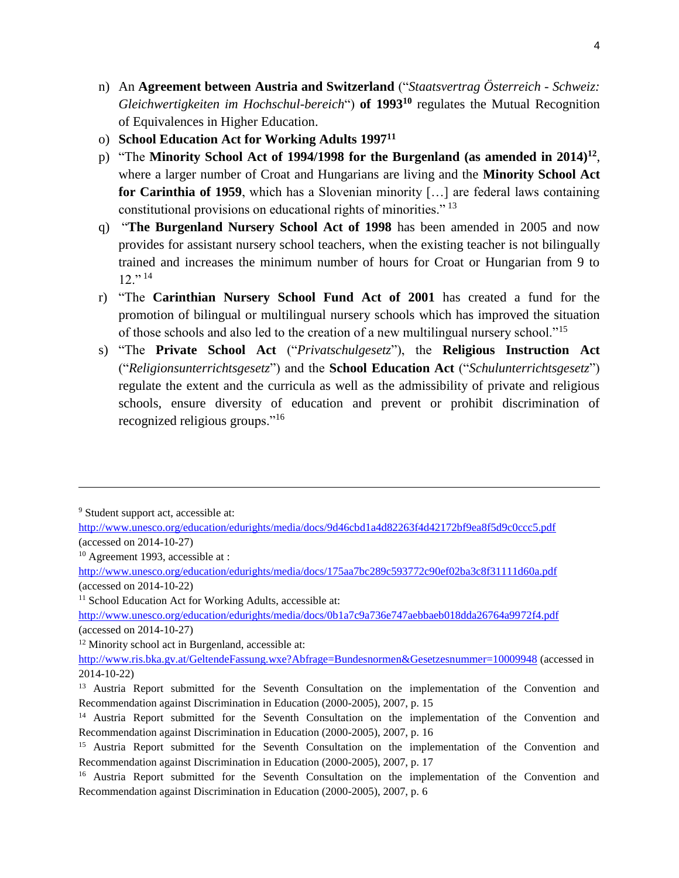- n) An **Agreement between Austria and Switzerland** ("*Staatsvertrag Österreich - Schweiz: Gleichwertigkeiten im Hochschul-bereich*") **of 1993<sup>10</sup>** regulates the Mutual Recognition of Equivalences in Higher Education.
- o) **School Education Act for Working Adults 1997<sup>11</sup>**
- p) "The **Minority School Act of 1994/1998 for the Burgenland (as amended in 2014)<sup>12</sup>** , where a larger number of Croat and Hungarians are living and the **Minority School Act for Carinthia of 1959**, which has a Slovenian minority […] are federal laws containing constitutional provisions on educational rights of minorities." <sup>13</sup>
- q) "**The Burgenland Nursery School Act of 1998** has been amended in 2005 and now provides for assistant nursery school teachers, when the existing teacher is not bilingually trained and increases the minimum number of hours for Croat or Hungarian from 9 to  $12.$ <sup>" 14</sup>
- r) "The **Carinthian Nursery School Fund Act of 2001** has created a fund for the promotion of bilingual or multilingual nursery schools which has improved the situation of those schools and also led to the creation of a new multilingual nursery school."<sup>15</sup>
- s) "The **Private School Act** ("*Privatschulgesetz*"), the **Religious Instruction Act**  ("*Religionsunterrichtsgesetz*") and the **School Education Act** ("*Schulunterrichtsgesetz*") regulate the extent and the curricula as well as the admissibility of private and religious schools, ensure diversity of education and prevent or prohibit discrimination of recognized religious groups."<sup>16</sup>

<sup>9</sup> Student support act, accessible at:

l

<sup>10</sup> Agreement 1993, accessible at :

<sup>11</sup> School Education Act for Working Adults, accessible at:

<http://www.unesco.org/education/edurights/media/docs/0b1a7c9a736e747aebbaeb018dda26764a9972f4.pdf> (accessed on 2014-10-27)

<sup>12</sup> Minority school act in Burgenland, accessible at:

<http://www.unesco.org/education/edurights/media/docs/9d46cbd1a4d82263f4d42172bf9ea8f5d9c0ccc5.pdf> (accessed on 2014-10-27)

<http://www.unesco.org/education/edurights/media/docs/175aa7bc289c593772c90ef02ba3c8f31111d60a.pdf> (accessed on 2014-10-22)

<http://www.ris.bka.gv.at/GeltendeFassung.wxe?Abfrage=Bundesnormen&Gesetzesnummer=10009948> (accessed in 2014-10-22)

<sup>&</sup>lt;sup>13</sup> Austria Report submitted for the Seventh Consultation on the implementation of the Convention and Recommendation against Discrimination in Education (2000-2005), 2007, p. 15

<sup>&</sup>lt;sup>14</sup> Austria Report submitted for the Seventh Consultation on the implementation of the Convention and Recommendation against Discrimination in Education (2000-2005), 2007, p. 16

<sup>&</sup>lt;sup>15</sup> Austria Report submitted for the Seventh Consultation on the implementation of the Convention and Recommendation against Discrimination in Education (2000-2005), 2007, p. 17

<sup>&</sup>lt;sup>16</sup> Austria Report submitted for the Seventh Consultation on the implementation of the Convention and Recommendation against Discrimination in Education (2000-2005), 2007, p. 6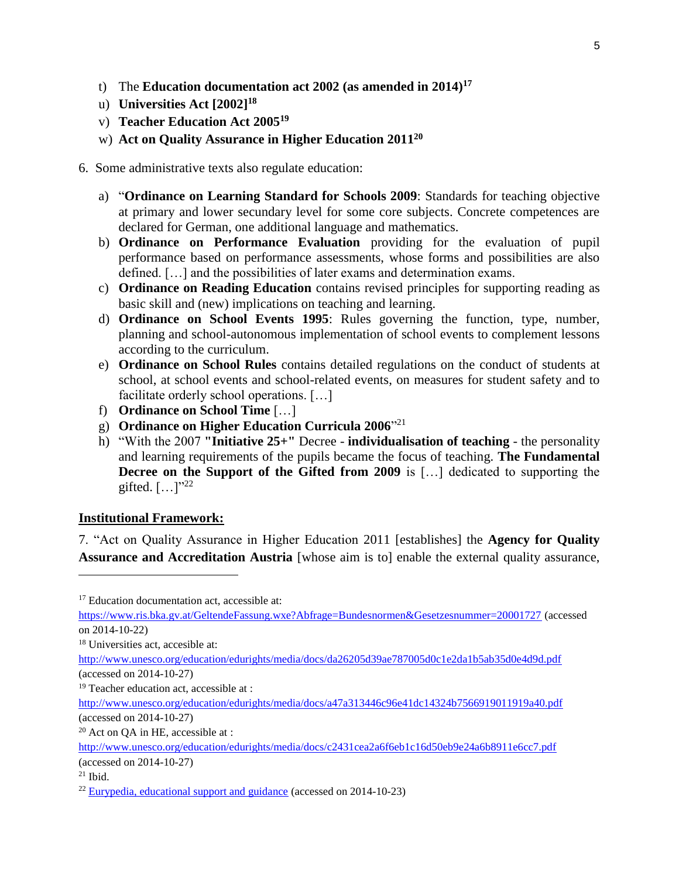- t) The **Education documentation act 2002 (as amended in 2014)<sup>17</sup>**
- u) **Universities Act [2002] 18**
- v) **Teacher Education Act 2005<sup>19</sup>**
- w) **Act on Quality Assurance in Higher Education 2011<sup>20</sup>**

6. Some administrative texts also regulate education:

- a) "**Ordinance on Learning Standard for Schools 2009**: Standards for teaching objective at primary and lower secundary level for some core subjects. Concrete competences are declared for German, one additional language and mathematics.
- b) **Ordinance on Performance Evaluation** providing for the evaluation of pupil performance based on performance assessments, whose forms and possibilities are also defined. […] and the possibilities of later exams and determination exams.
- c) **Ordinance on Reading Education** contains revised principles for supporting reading as basic skill and (new) implications on teaching and learning.
- d) **Ordinance on School Events 1995**: Rules governing the function, type, number, planning and school-autonomous implementation of school events to complement lessons according to the curriculum.
- e) **Ordinance on School Rules** contains detailed regulations on the conduct of students at school, at school events and school-related events, on measures for student safety and to facilitate orderly school operations. […]
- f) **Ordinance on School Time** […]
- g) **Ordinance on Higher Education Curricula 2006**" 21
- h) "With the 2007 **"Initiative 25+"** Decree **individualisation of teaching** the personality and learning requirements of the pupils became the focus of teaching. **The Fundamental Decree on the Support of the Gifted from 2009** is [...] dedicated to supporting the gifted.  $[...]^{32}$

### **Institutional Framework:**

7. "Act on Quality Assurance in Higher Education 2011 [establishes] the **Agency for Quality Assurance and Accreditation Austria** [whose aim is to] enable the external quality assurance,

l

<sup>&</sup>lt;sup>17</sup> Education documentation act, accessible at:

<https://www.ris.bka.gv.at/GeltendeFassung.wxe?Abfrage=Bundesnormen&Gesetzesnummer=20001727> (accessed on 2014-10-22)

<sup>&</sup>lt;sup>18</sup> Universities act, accesible at:

<http://www.unesco.org/education/edurights/media/docs/da26205d39ae787005d0c1e2da1b5ab35d0e4d9d.pdf> (accessed on 2014-10-27)

<sup>&</sup>lt;sup>19</sup> Teacher education act, accessible at :

<http://www.unesco.org/education/edurights/media/docs/a47a313446c96e41dc14324b7566919011919a40.pdf> (accessed on 2014-10-27)

<sup>&</sup>lt;sup>20</sup> Act on QA in HE, accessible at :

<http://www.unesco.org/education/edurights/media/docs/c2431cea2a6f6eb1c16d50eb9e24a6b8911e6cc7.pdf> (accessed on 2014-10-27)

 $21$  Ibid.

 $22$  [Eurypedia, educational support and guidance](https://webgate.ec.europa.eu/fpfis/mwikis/eurydice/index.php/Austria:Educational_Support_and_Guidance) (accessed on 2014-10-23)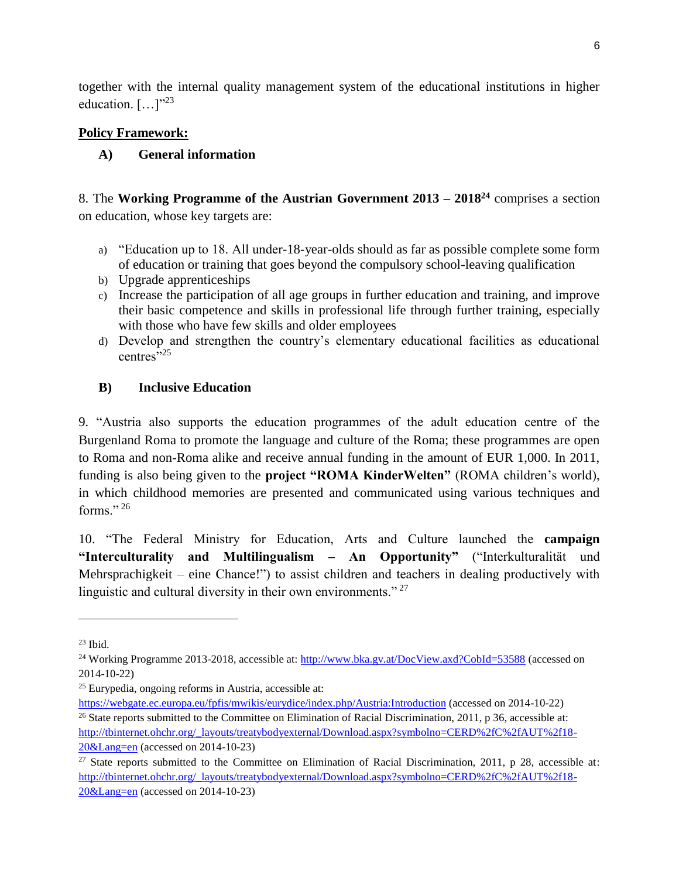together with the internal quality management system of the educational institutions in higher education.  $[\dots]^{3}$ 

### **Policy Framework:**

# **A) General information**

8. The **Working Programme of the Austrian Government 2013 – 2018<sup>24</sup>** comprises a section on education, whose key targets are:

- a) "Education up to 18. All under-18-year-olds should as far as possible complete some form of education or training that goes beyond the compulsory school-leaving qualification
- b) Upgrade apprenticeships
- c) Increase the participation of all age groups in further education and training, and improve their basic competence and skills in professional life through further training, especially with those who have few skills and older employees
- d) Develop and strengthen the country's elementary educational facilities as educational centres $\cdot$ <sup>25</sup>

# **B) Inclusive Education**

9. "Austria also supports the education programmes of the adult education centre of the Burgenland Roma to promote the language and culture of the Roma; these programmes are open to Roma and non-Roma alike and receive annual funding in the amount of EUR 1,000. In 2011, funding is also being given to the **project "ROMA KinderWelten"** (ROMA children's world), in which childhood memories are presented and communicated using various techniques and forms $"26$ 

10. "The Federal Ministry for Education, Arts and Culture launched the **campaign "Interculturality and Multilingualism – An Opportunity"** ("Interkulturalität und Mehrsprachigkeit – eine Chance!") to assist children and teachers in dealing productively with linguistic and cultural diversity in their own environments."<sup>27</sup>

l

<https://webgate.ec.europa.eu/fpfis/mwikis/eurydice/index.php/Austria:Introduction> (accessed on 2014-10-22) <sup>26</sup> State reports submitted to the Committee on Elimination of Racial Discrimination, 2011, p 36, accessible at:

 $23$  Ibid.

<sup>&</sup>lt;sup>24</sup> Working Programme 2013-2018, accessible at:<http://www.bka.gv.at/DocView.axd?CobId=53588> (accessed on 2014-10-22)

<sup>25</sup> Eurypedia, ongoing reforms in Austria, accessible at:

[http://tbinternet.ohchr.org/\\_layouts/treatybodyexternal/Download.aspx?symbolno=CERD%2fC%2fAUT%2f18-](http://tbinternet.ohchr.org/_layouts/treatybodyexternal/Download.aspx?symbolno=CERD%2fC%2fAUT%2f18-20&Lang=en) [20&Lang=en](http://tbinternet.ohchr.org/_layouts/treatybodyexternal/Download.aspx?symbolno=CERD%2fC%2fAUT%2f18-20&Lang=en) (accessed on 2014-10-23)

<sup>&</sup>lt;sup>27</sup> State reports submitted to the Committee on Elimination of Racial Discrimination, 2011, p 28, accessible at: [http://tbinternet.ohchr.org/\\_layouts/treatybodyexternal/Download.aspx?symbolno=CERD%2fC%2fAUT%2f18-](http://tbinternet.ohchr.org/_layouts/treatybodyexternal/Download.aspx?symbolno=CERD%2fC%2fAUT%2f18-20&Lang=en) [20&Lang=en](http://tbinternet.ohchr.org/_layouts/treatybodyexternal/Download.aspx?symbolno=CERD%2fC%2fAUT%2f18-20&Lang=en) (accessed on 2014-10-23)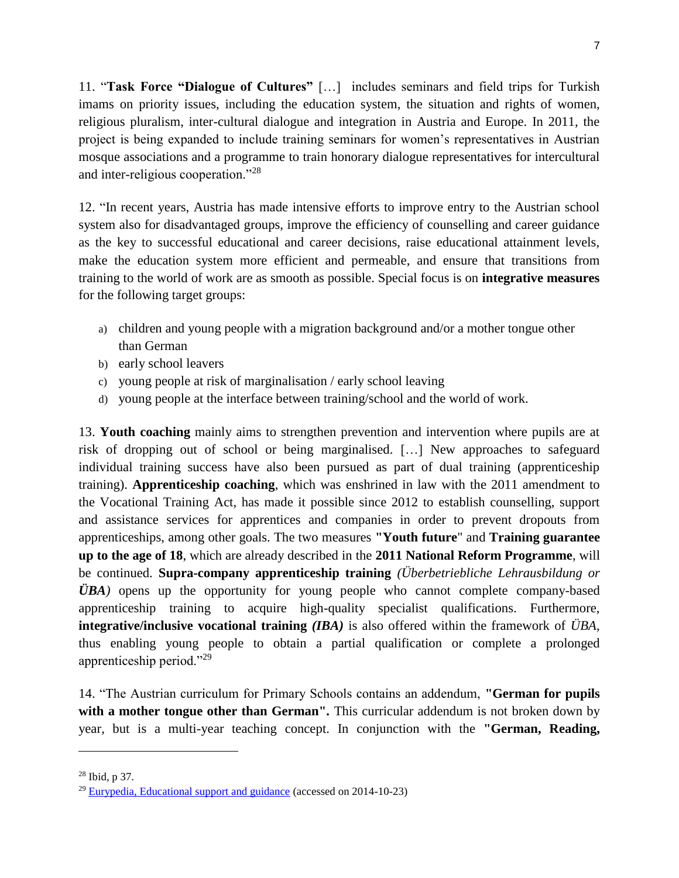11. "**Task Force "Dialogue of Cultures"** […] includes seminars and field trips for Turkish imams on priority issues, including the education system, the situation and rights of women, religious pluralism, inter-cultural dialogue and integration in Austria and Europe. In 2011, the project is being expanded to include training seminars for women's representatives in Austrian mosque associations and a programme to train honorary dialogue representatives for intercultural and inter-religious cooperation."<sup>28</sup>

12. "In recent years, Austria has made intensive efforts to improve entry to the Austrian school system also for disadvantaged groups, improve the efficiency of counselling and career guidance as the key to successful educational and career decisions, raise educational attainment levels, make the education system more efficient and permeable, and ensure that transitions from training to the world of work are as smooth as possible. Special focus is on **integrative measures** for the following target groups:

- a) children and young people with a migration background and/or a mother tongue other than German
- b) early school leavers
- c) young people at risk of marginalisation / early school leaving
- d) young people at the interface between training/school and the world of work.

13. **Youth coaching** mainly aims to strengthen prevention and intervention where pupils are at risk of dropping out of school or being marginalised. […] New approaches to safeguard individual training success have also been pursued as part of dual training (apprenticeship training). **Apprenticeship coaching**, which was enshrined in law with the 2011 amendment to the Vocational Training Act, has made it possible since 2012 to establish counselling, support and assistance services for apprentices and companies in order to prevent dropouts from apprenticeships, among other goals. The two measures **"Youth future**" and **Training guarantee up to the age of 18**, which are already described in the **2011 National Reform Programme**, will be continued. **Supra-company apprenticeship training** *(Überbetriebliche Lehrausbildung or ÜBA)* opens up the opportunity for young people who cannot complete company-based apprenticeship training to acquire high-quality specialist qualifications. Furthermore, **integrative/inclusive vocational training** *(IBA)* is also offered within the framework of *ÜBA*, thus enabling young people to obtain a partial qualification or complete a prolonged apprenticeship period."<sup>29</sup>

14. "The Austrian curriculum for Primary Schools contains an addendum, **"German for pupils**  with a mother tongue other than German". This curricular addendum is not broken down by year, but is a multi-year teaching concept. In conjunction with the **"German, Reading,** 

l

<sup>28</sup> Ibid, p 37.

<sup>&</sup>lt;sup>29</sup> [Eurypedia, Educational support and guidance](https://webgate.ec.europa.eu/fpfis/mwikis/eurydice/index.php/Austria:Educational_Support_and_Guidance) (accessed on 2014-10-23)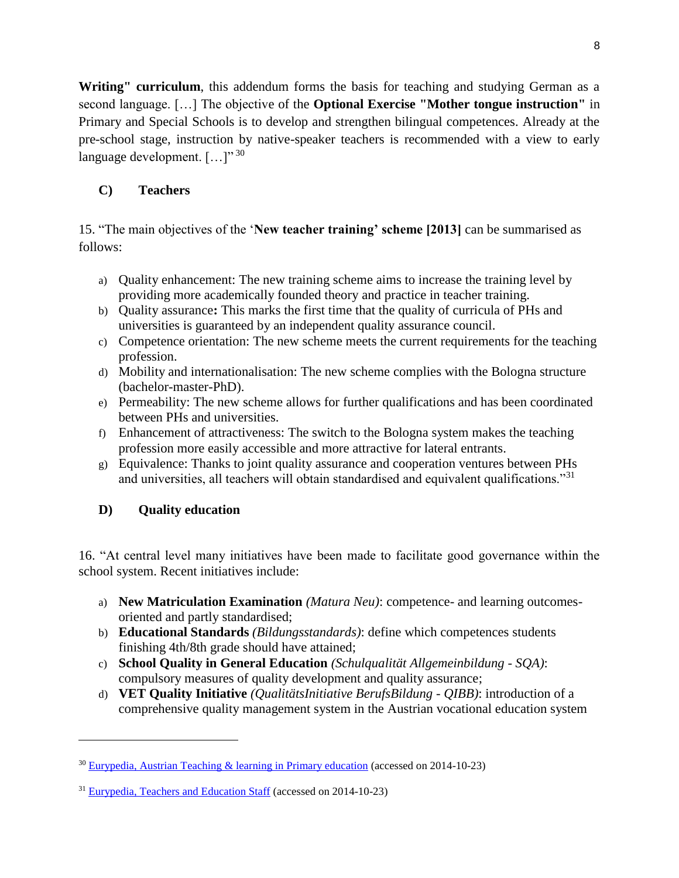Writing" curriculum, this addendum forms the basis for teaching and studying German as a second language. […] The objective of the **Optional Exercise "Mother tongue instruction"** in Primary and Special Schools is to develop and strengthen bilingual competences. Already at the pre-school stage, instruction by native-speaker teachers is recommended with a view to early language development.  $[\dots]^{30}$ 

# **C) Teachers**

15. "The main objectives of the '**New teacher training' scheme [2013]** can be summarised as follows:

- a) Quality enhancement: The new training scheme aims to increase the training level by providing more academically founded theory and practice in teacher training.
- b) Quality assurance**:** This marks the first time that the quality of curricula of PHs and universities is guaranteed by an independent quality assurance council.
- c) Competence orientation: The new scheme meets the current requirements for the teaching profession.
- d) Mobility and internationalisation: The new scheme complies with the Bologna structure (bachelor-master-PhD).
- e) Permeability: The new scheme allows for further qualifications and has been coordinated between PHs and universities.
- f) Enhancement of attractiveness: The switch to the Bologna system makes the teaching profession more easily accessible and more attractive for lateral entrants.
- g) Equivalence: Thanks to joint quality assurance and cooperation ventures between PHs and universities, all teachers will obtain standardised and equivalent qualifications."<sup>31</sup>

# **D) Quality education**

l

16. "At central level many initiatives have been made to facilitate good governance within the school system. Recent initiatives include:

- a) **New Matriculation Examination** *(Matura Neu)*: competence- and learning outcomesoriented and partly standardised;
- b) **Educational Standards** *(Bildungsstandards)*: define which competences students finishing 4th/8th grade should have attained;
- c) **School Quality in General Education** *(Schulqualität Allgemeinbildung - SQA)*: compulsory measures of quality development and quality assurance;
- d) **VET Quality Initiative** *(QualitätsInitiative BerufsBildung - QIBB)*: introduction of a comprehensive quality management system in the Austrian vocational education system

<sup>30</sup> [Eurypedia, Austrian Teaching & learning in Primary education](https://webgate.ec.europa.eu/fpfis/mwikis/eurydice/index.php/Austria:Teaching_and_Learning_in_Primary_Education) (accessed on 2014-10-23)

<sup>31</sup> [Eurypedia, Teachers and Education Staff](https://webgate.ec.europa.eu/fpfis/mwikis/eurydice/index.php/Austria:Teachers_and_Education_Staff) (accessed on 2014-10-23)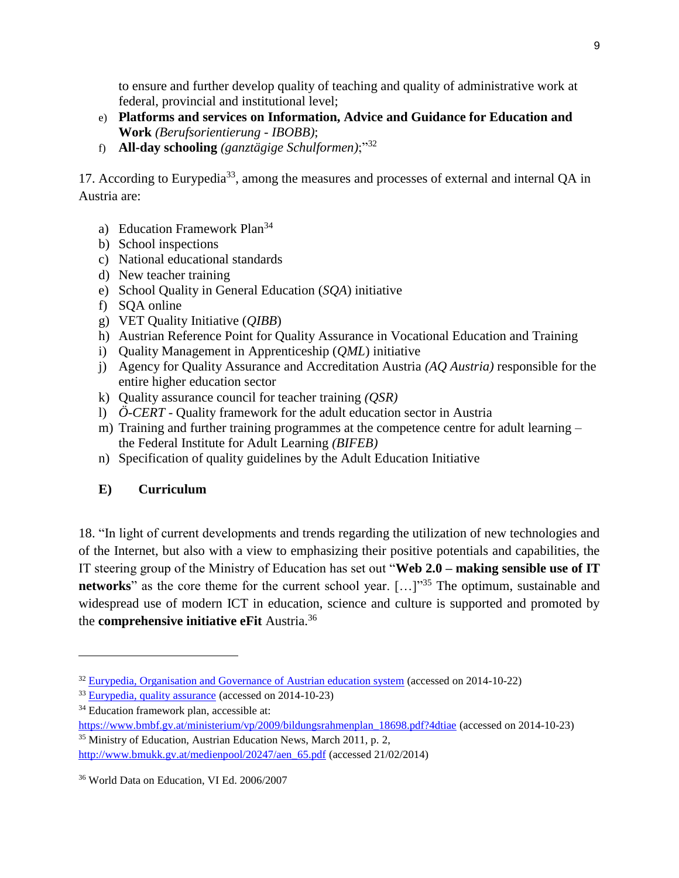to ensure and further develop quality of teaching and quality of administrative work at federal, provincial and institutional level;

- e) **Platforms and services on Information, Advice and Guidance for Education and Work** *(Berufsorientierung - IBOBB)*;
- f) **All-day schooling** *(ganztägige Schulformen)*;"<sup>32</sup>

17. According to Eurypedia<sup>33</sup>, among the measures and processes of external and internal QA in Austria are:

- a) Education Framework Plan<sup>34</sup>
- b) School inspections
- c) National educational standards
- d) New teacher training
- e) School Quality in General Education (*SQA*) initiative
- f) SQA online
- g) VET Quality Initiative (*QIBB*)
- h) Austrian Reference Point for Quality Assurance in Vocational Education and Training
- i) Quality Management in Apprenticeship (*QML*) initiative
- j) Agency for Quality Assurance and Accreditation Austria *(AQ Austria)* responsible for the entire higher education sector
- k) Quality assurance council for teacher training *(QSR)*
- l) *Ö-CERT* Quality framework for the adult education sector in Austria
- m) Training and further training programmes at the competence centre for adult learning the Federal Institute for Adult Learning *(BIFEB)*
- n) Specification of quality guidelines by the Adult Education Initiative

# **E) Curriculum**

l

18. "In light of current developments and trends regarding the utilization of new technologies and of the Internet, but also with a view to emphasizing their positive potentials and capabilities, the IT steering group of the Ministry of Education has set out "**Web 2.0 – making sensible use of IT networks**" as the core theme for the current school year. [...]"<sup>35</sup> The optimum, sustainable and widespread use of modern ICT in education, science and culture is supported and promoted by the **comprehensive initiative eFit** Austria.<sup>36</sup>

<sup>&</sup>lt;sup>32</sup> [Eurypedia, Organisation and Governance of Austrian education system](https://webgate.ec.europa.eu/fpfis/mwikis/eurydice/index.php/Austria:Organisation_and_Governance) (accessed on 2014-10-22)

<sup>33</sup> [Eurypedia, quality assurance](https://webgate.ec.europa.eu/fpfis/mwikis/eurydice/index.php/Austria:Quality_Assurance) (accessed on 2014-10-23)

<sup>&</sup>lt;sup>34</sup> Education framework plan, accessible at:

[https://www.bmbf.gv.at/ministerium/vp/2009/bildungsrahmenplan\\_18698.pdf?4dtiae](https://www.bmbf.gv.at/ministerium/vp/2009/bildungsrahmenplan_18698.pdf?4dtiae) (accessed on 2014-10-23) <sup>35</sup> Ministry of Education, Austrian Education News, March 2011, p. 2,

[http://www.bmukk.gv.at/medienpool/20247/aen\\_65.pdf](http://www.bmukk.gv.at/medienpool/20247/aen_65.pdf) (accessed 21/02/2014)

<sup>36</sup> World Data on Education, VI Ed. 2006/2007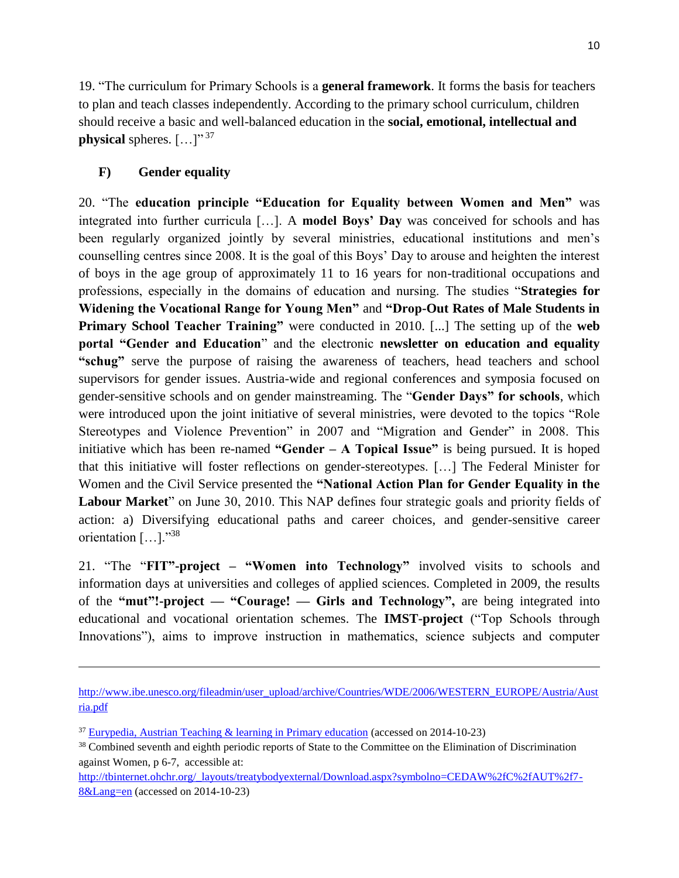19. "The curriculum for Primary Schools is a **general framework**. It forms the basis for teachers to plan and teach classes independently. According to the primary school curriculum, children should receive a basic and well-balanced education in the **social, emotional, intellectual and physical** spheres.  $[...]$ <sup>"37</sup>

# **F) Gender equality**

l

20. "The **education principle "Education for Equality between Women and Men"** was integrated into further curricula […]. A **model Boys' Day** was conceived for schools and has been regularly organized jointly by several ministries, educational institutions and men's counselling centres since 2008. It is the goal of this Boys' Day to arouse and heighten the interest of boys in the age group of approximately 11 to 16 years for non-traditional occupations and professions, especially in the domains of education and nursing. The studies "**Strategies for Widening the Vocational Range for Young Men"** and **"Drop-Out Rates of Male Students in Primary School Teacher Training"** were conducted in 2010. [...] The setting up of the **web portal "Gender and Education**" and the electronic **newsletter on education and equality "schug"** serve the purpose of raising the awareness of teachers, head teachers and school supervisors for gender issues. Austria-wide and regional conferences and symposia focused on gender-sensitive schools and on gender mainstreaming. The "**Gender Days" for schools**, which were introduced upon the joint initiative of several ministries, were devoted to the topics "Role Stereotypes and Violence Prevention" in 2007 and "Migration and Gender" in 2008. This initiative which has been re-named **"Gender – A Topical Issue"** is being pursued. It is hoped that this initiative will foster reflections on gender-stereotypes. […] The Federal Minister for Women and the Civil Service presented the **"National Action Plan for Gender Equality in the Labour Market**" on June 30, 2010. This NAP defines four strategic goals and priority fields of action: a) Diversifying educational paths and career choices, and gender-sensitive career orientation […]."<sup>38</sup>

21. "The "**FIT"-project – "Women into Technology"** involved visits to schools and information days at universities and colleges of applied sciences. Completed in 2009, the results of the **"mut"!-project — "Courage! — Girls and Technology",** are being integrated into educational and vocational orientation schemes. The **IMST-project** ("Top Schools through Innovations"), aims to improve instruction in mathematics, science subjects and computer

[http://tbinternet.ohchr.org/\\_layouts/treatybodyexternal/Download.aspx?symbolno=CEDAW%2fC%2fAUT%2f7-](http://tbinternet.ohchr.org/_layouts/treatybodyexternal/Download.aspx?symbolno=CEDAW%2fC%2fAUT%2f7-8&Lang=en) [8&Lang=en](http://tbinternet.ohchr.org/_layouts/treatybodyexternal/Download.aspx?symbolno=CEDAW%2fC%2fAUT%2f7-8&Lang=en) (accessed on 2014-10-23)

[http://www.ibe.unesco.org/fileadmin/user\\_upload/archive/Countries/WDE/2006/WESTERN\\_EUROPE/Austria/Aust](http://www.ibe.unesco.org/fileadmin/user_upload/archive/Countries/WDE/2006/WESTERN_EUROPE/Austria/Austria.pdf) [ria.pdf](http://www.ibe.unesco.org/fileadmin/user_upload/archive/Countries/WDE/2006/WESTERN_EUROPE/Austria/Austria.pdf)

<sup>37</sup> [Eurypedia, Austrian Teaching & learning in Primary education](https://webgate.ec.europa.eu/fpfis/mwikis/eurydice/index.php/Austria:Teaching_and_Learning_in_Primary_Education) (accessed on 2014-10-23)

<sup>&</sup>lt;sup>38</sup> Combined seventh and eighth periodic reports of State to the Committee on the Elimination of Discrimination against Women, p 6-7, accessible at: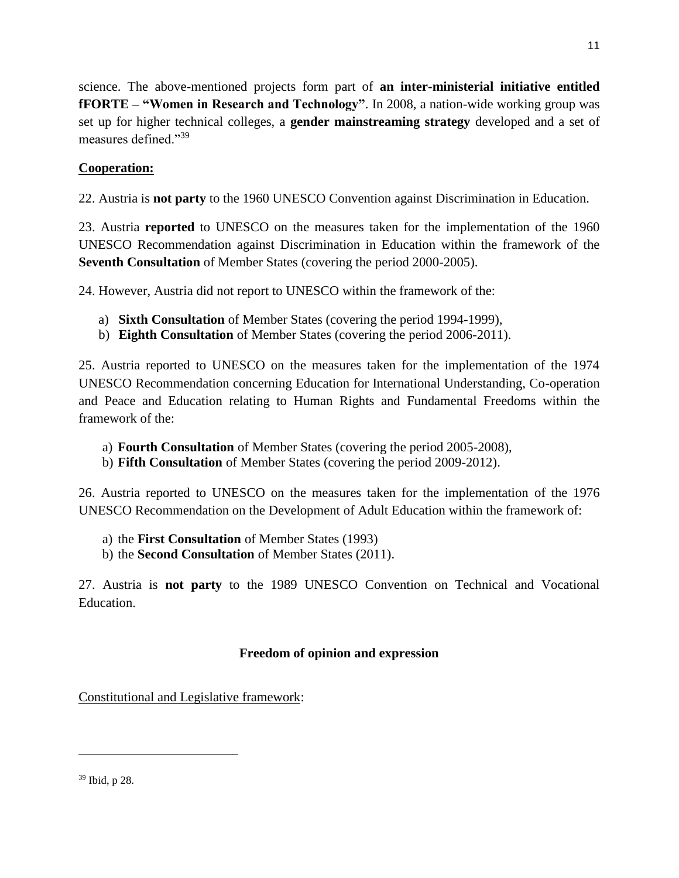science. The above-mentioned projects form part of **an inter-ministerial initiative entitled fFORTE – "Women in Research and Technology"**. In 2008, a nation-wide working group was set up for higher technical colleges, a **gender mainstreaming strategy** developed and a set of measures defined."<sup>39</sup>

# **Cooperation:**

22. Austria is **not party** to the 1960 UNESCO Convention against Discrimination in Education.

23. Austria **reported** to UNESCO on the measures taken for the implementation of the 1960 UNESCO Recommendation against Discrimination in Education within the framework of the **Seventh Consultation** of Member States (covering the period 2000-2005).

24. However, Austria did not report to UNESCO within the framework of the:

- a) **Sixth Consultation** of Member States (covering the period 1994-1999),
- b) **Eighth Consultation** of Member States (covering the period 2006-2011).

25. Austria reported to UNESCO on the measures taken for the implementation of the 1974 UNESCO Recommendation concerning Education for International Understanding, Co-operation and Peace and Education relating to Human Rights and Fundamental Freedoms within the framework of the:

- a) **Fourth Consultation** of Member States (covering the period 2005-2008),
- b) **Fifth Consultation** of Member States (covering the period 2009-2012).

26. Austria reported to UNESCO on the measures taken for the implementation of the 1976 UNESCO Recommendation on the Development of Adult Education within the framework of:

- a) the **First Consultation** of Member States (1993)
- b) the **Second Consultation** of Member States (2011).

27. Austria is **not party** to the 1989 UNESCO Convention on Technical and Vocational Education.

### **Freedom of opinion and expression**

Constitutional and Legislative framework:

<sup>39</sup> Ibid, p 28.

 $\overline{a}$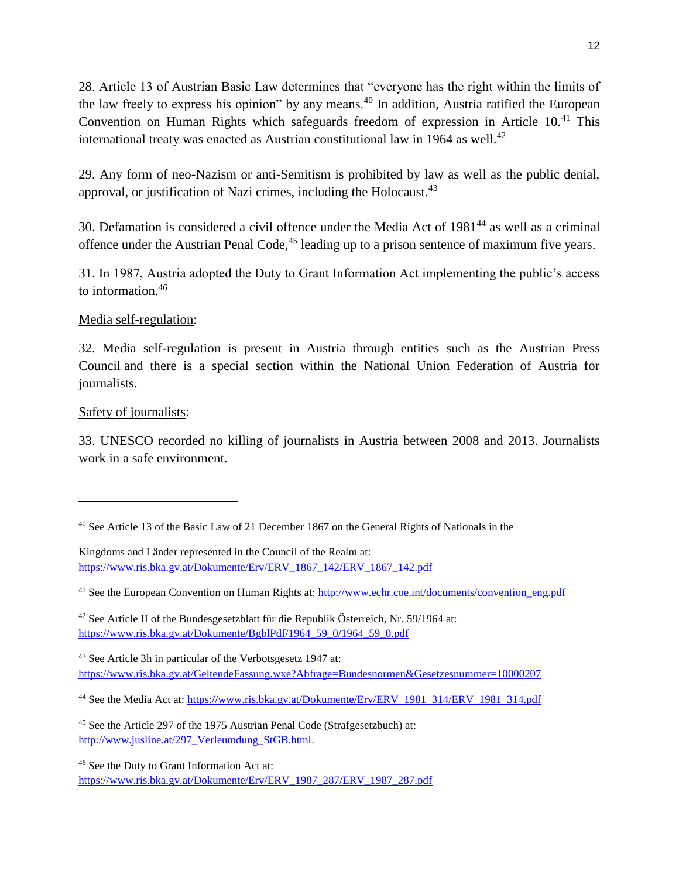28. Article 13 of Austrian Basic Law determines that "everyone has the right within the limits of the law freely to express his opinion" by any means.<sup>40</sup> In addition, Austria ratified the European Convention on Human Rights which safeguards freedom of expression in Article 10.<sup>41</sup> This international treaty was enacted as Austrian constitutional law in 1964 as well.<sup>42</sup>

29. Any form of neo-Nazism or anti-Semitism is prohibited by law as well as the public denial, approval, or justification of Nazi crimes, including the Holocaust. $43$ 

30. Defamation is considered a civil offence under the Media Act of 1981<sup>44</sup> as well as a criminal offence under the Austrian Penal Code,<sup>45</sup> leading up to a prison sentence of maximum five years.

31. In 1987, Austria adopted the Duty to Grant Information Act implementing the public's access to information.<sup>46</sup>

### Media self-regulation:

32. Media self-regulation is present in Austria through entities such as the Austrian Press Council and there is a special section within the National Union Federation of Austria for journalists.

### Safety of journalists:

 $\overline{a}$ 

33. UNESCO recorded no killing of journalists in Austria between 2008 and 2013. Journalists work in a safe environment.

 $42$  See Article II of the Bundesgesetzblatt für die Republik Österreich, Nr. 59/1964 at: [https://www.ris.bka.gv.at/Dokumente/BgblPdf/1964\\_59\\_0/1964\\_59\\_0.pdf](https://www.ris.bka.gv.at/Dokumente/BgblPdf/1964_59_0/1964_59_0.pdf)

<sup>43</sup> See Article 3h in particular of the Verbotsgesetz 1947 at: <https://www.ris.bka.gv.at/GeltendeFassung.wxe?Abfrage=Bundesnormen&Gesetzesnummer=10000207>

<sup>&</sup>lt;sup>40</sup> See Article 13 of the Basic Law of 21 December 1867 on the General Rights of Nationals in the

Kingdoms and Länder represented in the Council of the Realm at: [https://www.ris.bka.gv.at/Dokumente/Erv/ERV\\_1867\\_142/ERV\\_1867\\_142.pdf](https://www.ris.bka.gv.at/Dokumente/Erv/ERV_1867_142/ERV_1867_142.pdf)

<sup>&</sup>lt;sup>41</sup> See the European Convention on Human Rights at: [http://www.echr.coe.int/documents/convention\\_eng.pdf](http://www.echr.coe.int/documents/convention_eng.pdf)

<sup>&</sup>lt;sup>44</sup> See the Media Act at: [https://www.ris.bka.gv.at/Dokumente/Erv/ERV\\_1981\\_314/ERV\\_1981\\_314.pdf](https://www.ris.bka.gv.at/Dokumente/Erv/ERV_1981_314/ERV_1981_314.pdf)

<sup>45</sup> See the Article 297 of the 1975 Austrian Penal Code (Strafgesetzbuch) at: [http://www.jusline.at/297\\_Verleumdung\\_StGB.html.](http://www.jusline.at/297_Verleumdung_StGB.html)

<sup>46</sup> See the Duty to Grant Information Act at: [https://www.ris.bka.gv.at/Dokumente/Erv/ERV\\_1987\\_287/ERV\\_1987\\_287.pdf](https://www.ris.bka.gv.at/Dokumente/Erv/ERV_1987_287/ERV_1987_287.pdf)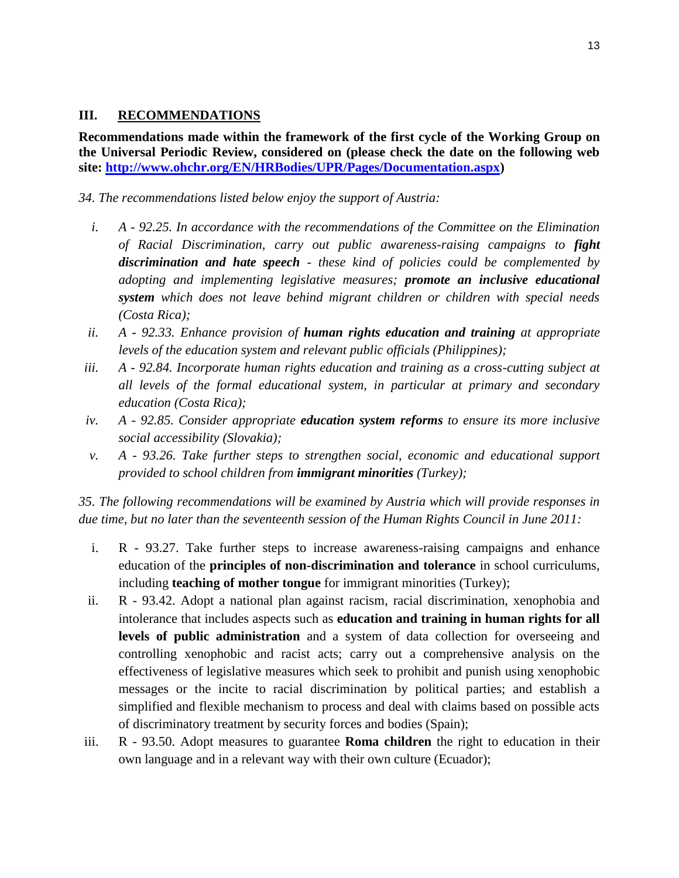#### **III. RECOMMENDATIONS**

**Recommendations made within the framework of the first cycle of the Working Group on the Universal Periodic Review, considered on (please check the date on the following web site: [http://www.ohchr.org/EN/HRBodies/UPR/Pages/Documentation.aspx\)](http://www.ohchr.org/EN/HRBodies/UPR/Pages/Documentation.aspx)** 

*34. The recommendations listed below enjoy the support of Austria:*

- *i. A - 92.25. In accordance with the recommendations of the Committee on the Elimination of Racial Discrimination, carry out public awareness-raising campaigns to fight discrimination and hate speech - these kind of policies could be complemented by adopting and implementing legislative measures; promote an inclusive educational system which does not leave behind migrant children or children with special needs (Costa Rica);*
- *ii. A - 92.33. Enhance provision of human rights education and training at appropriate levels of the education system and relevant public officials (Philippines);*
- *iii. A - 92.84. Incorporate human rights education and training as a cross-cutting subject at all levels of the formal educational system, in particular at primary and secondary education (Costa Rica);*
- *iv. A - 92.85. Consider appropriate education system reforms to ensure its more inclusive social accessibility (Slovakia);*
- *v. A - 93.26. Take further steps to strengthen social, economic and educational support provided to school children from immigrant minorities (Turkey);*

*35. The following recommendations will be examined by Austria which will provide responses in due time, but no later than the seventeenth session of the Human Rights Council in June 2011:*

- i. R 93.27. Take further steps to increase awareness-raising campaigns and enhance education of the **principles of non-discrimination and tolerance** in school curriculums, including **teaching of mother tongue** for immigrant minorities (Turkey);
- ii. R 93.42. Adopt a national plan against racism, racial discrimination, xenophobia and intolerance that includes aspects such as **education and training in human rights for all levels of public administration** and a system of data collection for overseeing and controlling xenophobic and racist acts; carry out a comprehensive analysis on the effectiveness of legislative measures which seek to prohibit and punish using xenophobic messages or the incite to racial discrimination by political parties; and establish a simplified and flexible mechanism to process and deal with claims based on possible acts of discriminatory treatment by security forces and bodies (Spain);
- iii. R 93.50. Adopt measures to guarantee **Roma children** the right to education in their own language and in a relevant way with their own culture (Ecuador);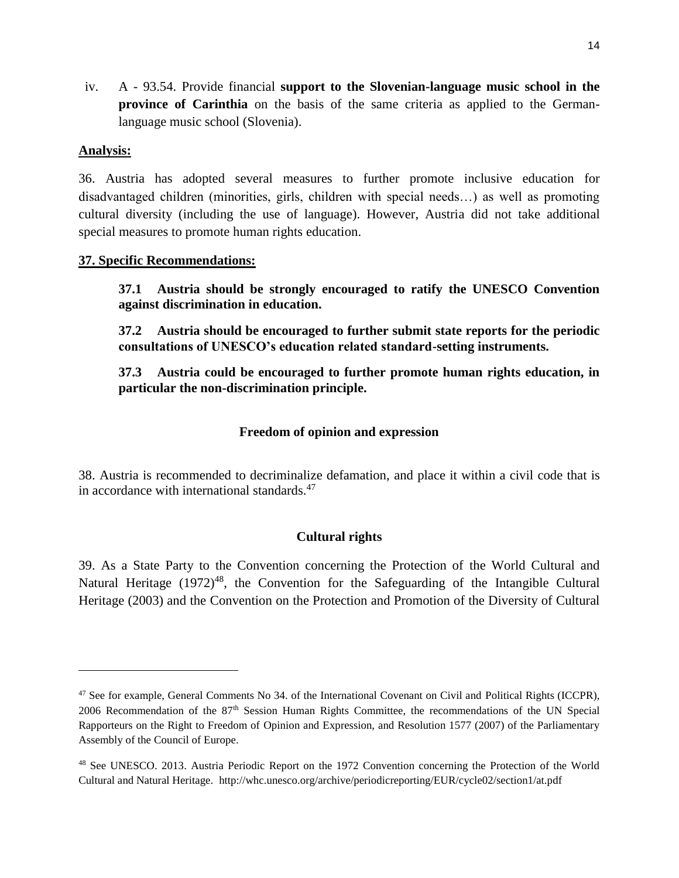iv. A - 93.54. Provide financial **support to the Slovenian-language music school in the province of Carinthia** on the basis of the same criteria as applied to the Germanlanguage music school (Slovenia).

#### **Analysis:**

l

36. Austria has adopted several measures to further promote inclusive education for disadvantaged children (minorities, girls, children with special needs…) as well as promoting cultural diversity (including the use of language). However, Austria did not take additional special measures to promote human rights education.

### **37. Specific Recommendations:**

**37.1 Austria should be strongly encouraged to ratify the UNESCO Convention against discrimination in education.**

**37.2 Austria should be encouraged to further submit state reports for the periodic consultations of UNESCO's education related standard-setting instruments.**

**37.3 Austria could be encouraged to further promote human rights education, in particular the non-discrimination principle.**

### **Freedom of opinion and expression**

38. Austria is recommended to decriminalize defamation, and place it within a civil code that is in accordance with international standards. $47$ 

### **Cultural rights**

39. As a State Party to the Convention concerning the Protection of the World Cultural and Natural Heritage  $(1972)^{48}$ , the Convention for the Safeguarding of the Intangible Cultural Heritage (2003) and the Convention on the Protection and Promotion of the Diversity of Cultural

<sup>&</sup>lt;sup>47</sup> See for example, General Comments No 34. of the International Covenant on Civil and Political Rights (ICCPR), 2006 Recommendation of the 87th Session Human Rights Committee, the recommendations of the UN Special Rapporteurs on the Right to Freedom of Opinion and Expression, and Resolution 1577 (2007) of the Parliamentary Assembly of the Council of Europe.

<sup>48</sup> See UNESCO. 2013. Austria Periodic Report on the 1972 Convention concerning the Protection of the World Cultural and Natural Heritage. http://whc.unesco.org/archive/periodicreporting/EUR/cycle02/section1/at.pdf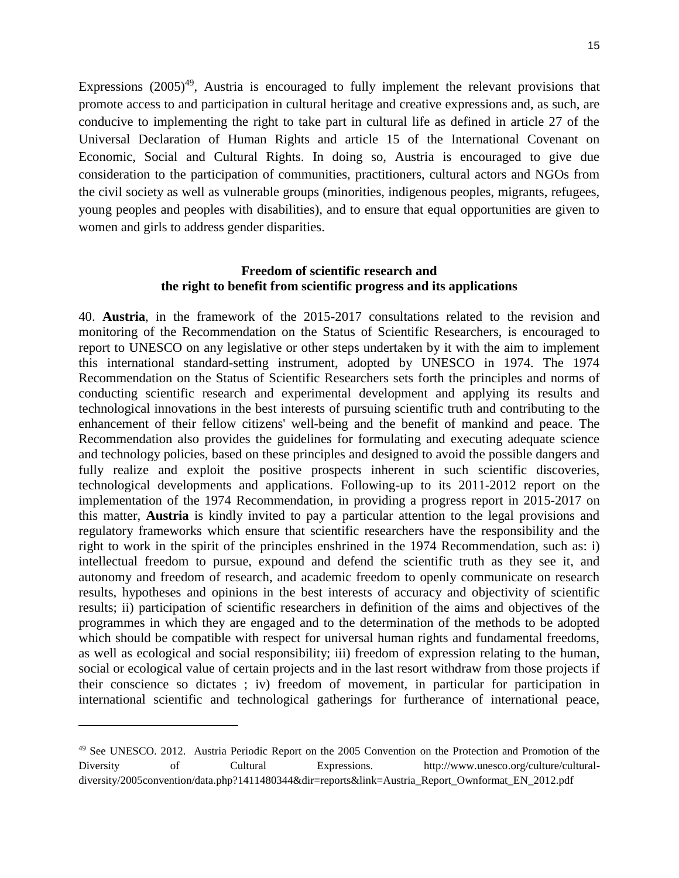Expressions  $(2005)^{49}$ , Austria is encouraged to fully implement the relevant provisions that promote access to and participation in cultural heritage and creative expressions and, as such, are conducive to implementing the right to take part in cultural life as defined in article 27 of the Universal Declaration of Human Rights and article 15 of the International Covenant on Economic, Social and Cultural Rights. In doing so, Austria is encouraged to give due consideration to the participation of communities, practitioners, cultural actors and NGOs from the civil society as well as vulnerable groups (minorities, indigenous peoples, migrants, refugees, young peoples and peoples with disabilities), and to ensure that equal opportunities are given to women and girls to address gender disparities.

#### **Freedom of scientific research and the right to benefit from scientific progress and its applications**

40. **Austria**, in the framework of the 2015-2017 consultations related to the revision and monitoring of the Recommendation on the Status of Scientific Researchers, is encouraged to report to UNESCO on any legislative or other steps undertaken by it with the aim to implement this international standard-setting instrument, adopted by UNESCO in 1974. The 1974 Recommendation on the Status of Scientific Researchers sets forth the principles and norms of conducting scientific research and experimental development and applying its results and technological innovations in the best interests of pursuing scientific truth and contributing to the enhancement of their fellow citizens' well-being and the benefit of mankind and peace. The Recommendation also provides the guidelines for formulating and executing adequate science and technology policies, based on these principles and designed to avoid the possible dangers and fully realize and exploit the positive prospects inherent in such scientific discoveries, technological developments and applications. Following-up to its 2011-2012 report on the implementation of the 1974 Recommendation, in providing a progress report in 2015-2017 on this matter, **Austria** is kindly invited to pay a particular attention to the legal provisions and regulatory frameworks which ensure that scientific researchers have the responsibility and the right to work in the spirit of the principles enshrined in the 1974 Recommendation, such as: i) intellectual freedom to pursue, expound and defend the scientific truth as they see it, and autonomy and freedom of research, and academic freedom to openly communicate on research results, hypotheses and opinions in the best interests of accuracy and objectivity of scientific results; ii) participation of scientific researchers in definition of the aims and objectives of the programmes in which they are engaged and to the determination of the methods to be adopted which should be compatible with respect for universal human rights and fundamental freedoms, as well as ecological and social responsibility; iii) freedom of expression relating to the human, social or ecological value of certain projects and in the last resort withdraw from those projects if their conscience so dictates ; iv) freedom of movement, in particular for participation in international scientific and technological gatherings for furtherance of international peace,

l

<sup>&</sup>lt;sup>49</sup> See UNESCO. 2012. Austria Periodic Report on the 2005 Convention on the Protection and Promotion of the Diversity of Cultural Expressions. http://www.unesco.org/culture/culturaldiversity/2005convention/data.php?1411480344&dir=reports&link=Austria\_Report\_Ownformat\_EN\_2012.pdf